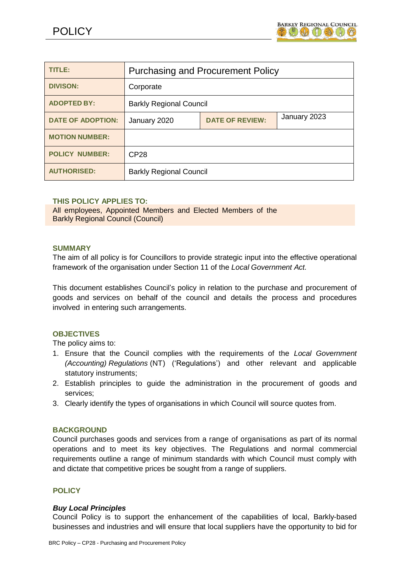

| <b>TITLE:</b>            | <b>Purchasing and Procurement Policy</b> |                        |              |
|--------------------------|------------------------------------------|------------------------|--------------|
| <b>DIVISON:</b>          | Corporate                                |                        |              |
| <b>ADOPTED BY:</b>       | <b>Barkly Regional Council</b>           |                        |              |
| <b>DATE OF ADOPTION:</b> | January 2020                             | <b>DATE OF REVIEW:</b> | January 2023 |
| <b>MOTION NUMBER:</b>    |                                          |                        |              |
| <b>POLICY NUMBER:</b>    | CP <sub>28</sub>                         |                        |              |
| <b>AUTHORISED:</b>       | <b>Barkly Regional Council</b>           |                        |              |

### **THIS POLICY APPLIES TO:**

All employees, Appointed Members and Elected Members of the Barkly Regional Council (Council)

### **SUMMARY**

The aim of all policy is for Councillors to provide strategic input into the effective operational framework of the organisation under Section 11 of the *Local Government Act.*

This document establishes Council's policy in relation to the purchase and procurement of goods and services on behalf of the council and details the process and procedures involved in entering such arrangements.

### **OBJECTIVES**

The policy aims to:

- 1. Ensure that the Council complies with the requirements of the *Local Government (Accounting) Regulations* (NT) ('Regulations') and other relevant and applicable statutory instruments;
- 2. Establish principles to guide the administration in the procurement of goods and services;
- 3. Clearly identify the types of organisations in which Council will source quotes from.

### **BACKGROUND**

Council purchases goods and services from a range of organisations as part of its normal operations and to meet its key objectives. The Regulations and normal commercial requirements outline a range of minimum standards with which Council must comply with and dictate that competitive prices be sought from a range of suppliers.

## **POLICY**

### *Buy Local Principles*

Council Policy is to support the enhancement of the capabilities of local, Barkly-based businesses and industries and will ensure that local suppliers have the opportunity to bid for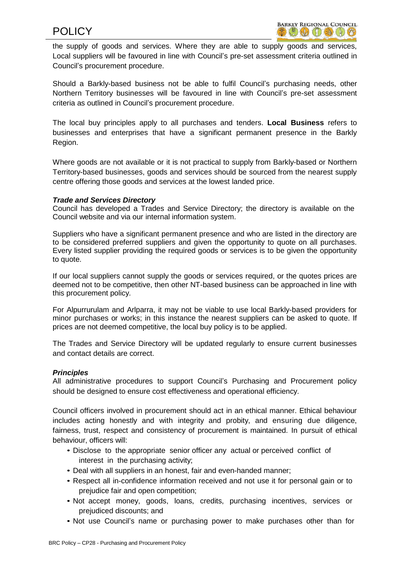the supply of goods and services. Where they are able to supply goods and services, Local suppliers will be favoured in line with Council's pre-set assessment criteria outlined in Council's procurement procedure.

Should a Barkly-based business not be able to fulfil Council's purchasing needs, other Northern Territory businesses will be favoured in line with Council's pre-set assessment criteria as outlined in Council's procurement procedure.

The local buy principles apply to all purchases and tenders. **Local Business** refers to businesses and enterprises that have a significant permanent presence in the Barkly Region.

Where goods are not available or it is not practical to supply from Barkly-based or Northern Territory-based businesses, goods and services should be sourced from the nearest supply centre offering those goods and services at the lowest landed price.

### *Trade and Services Directory*

Council has developed a Trades and Service Directory; the directory is available on the Council website and via our internal information system.

Suppliers who have a significant permanent presence and who are listed in the directory are to be considered preferred suppliers and given the opportunity to quote on all purchases. Every listed supplier providing the required goods or services is to be given the opportunity to quote.

If our local suppliers cannot supply the goods or services required, or the quotes prices are deemed not to be competitive, then other NT-based business can be approached in line with this procurement policy.

For Alpurrurulam and Arlparra, it may not be viable to use local Barkly-based providers for minor purchases or works; in this instance the nearest suppliers can be asked to quote. If prices are not deemed competitive, the local buy policy is to be applied.

The Trades and Service Directory will be updated regularly to ensure current businesses and contact details are correct.

## *Principles*

All administrative procedures to support Council's Purchasing and Procurement policy should be designed to ensure cost effectiveness and operational efficiency.

Council officers involved in procurement should act in an ethical manner. Ethical behaviour includes acting honestly and with integrity and probity, and ensuring due diligence, fairness, trust, respect and consistency of procurement is maintained. In pursuit of ethical behaviour, officers will:

- Disclose to the appropriate senior officer any actual or perceived conflict of interest in the purchasing activity;
- Deal with all suppliers in an honest, fair and even-handed manner;
- Respect all in-confidence information received and not use it for personal gain or to prejudice fair and open competition;
- Not accept money, goods, loans, credits, purchasing incentives, services or prejudiced discounts; and
- Not use Council's name or purchasing power to make purchases other than for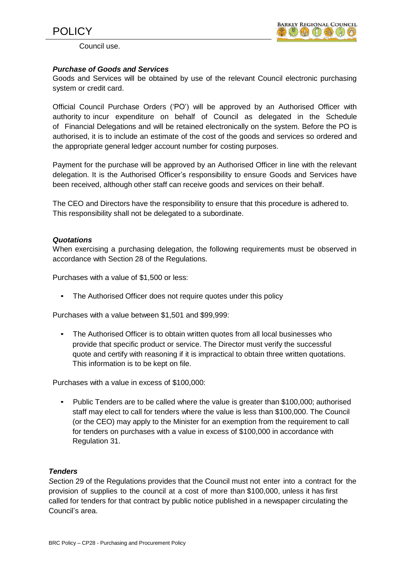

Council use.

## *Purchase of Goods and Services*

Goods and Services will be obtained by use of the relevant Council electronic purchasing system or credit card.

Official Council Purchase Orders ('PO') will be approved by an Authorised Officer with authority to incur expenditure on behalf of Council as delegated in the Schedule of Financial Delegations and will be retained electronically on the system. Before the PO is authorised, it is to include an estimate of the cost of the goods and services so ordered and the appropriate general ledger account number for costing purposes.

Payment for the purchase will be approved by an Authorised Officer in line with the relevant delegation. It is the Authorised Officer's responsibility to ensure Goods and Services have been received, although other staff can receive goods and services on their behalf.

The CEO and Directors have the responsibility to ensure that this procedure is adhered to. This responsibility shall not be delegated to a subordinate.

### *Quotations*

When exercising a purchasing delegation, the following requirements must be observed in accordance with Section 28 of the Regulations.

Purchases with a value of \$1,500 or less:

• The Authorised Officer does not require quotes under this policy

Purchases with a value between \$1,501 and \$99,999:

• The Authorised Officer is to obtain written quotes from all local businesses who provide that specific product or service. The Director must verify the successful quote and certify with reasoning if it is impractical to obtain three written quotations. This information is to be kept on file.

Purchases with a value in excess of \$100,000:

• Public Tenders are to be called where the value is greater than \$100,000; authorised staff may elect to call for tenders where the value is less than \$100,000. The Council (or the CEO) may apply to the Minister for an exemption from the requirement to call for tenders on purchases with a value in excess of \$100,000 in accordance with Regulation 31.

## *Tenders*

*S*ection 29 of the Regulations provides that the Council must not enter into a contract for the provision of supplies to the council at a cost of more than \$100,000, unless it has first called for tenders for that contract by public notice published in a newspaper circulating the Council's area.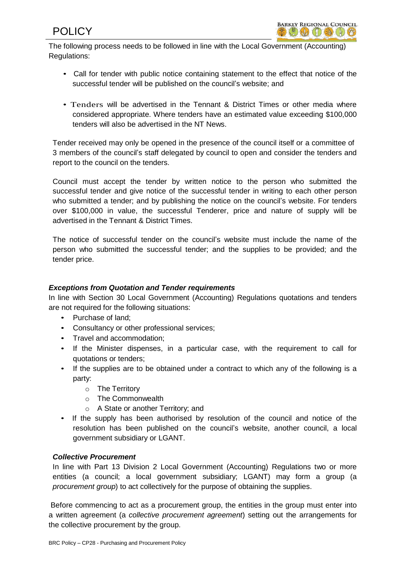The following process needs to be followed in line with the Local Government (Accounting) Regulations:

- Call for tender with public notice containing statement to the effect that notice of the successful tender will be published on the council's website; and
- Tenders will be advertised in the Tennant & District Times or other media where considered appropriate. Where tenders have an estimated value exceeding \$100,000 tenders will also be advertised in the NT News.

Tender received may only be opened in the presence of the council itself or a committee of 3 members of the council's staff delegated by council to open and consider the tenders and report to the council on the tenders.

Council must accept the tender by written notice to the person who submitted the successful tender and give notice of the successful tender in writing to each other person who submitted a tender; and by publishing the notice on the council's website. For tenders over \$100,000 in value, the successful Tenderer, price and nature of supply will be advertised in the Tennant & District Times.

The notice of successful tender on the council's website must include the name of the person who submitted the successful tender; and the supplies to be provided; and the tender price.

# *Exceptions from Quotation and Tender requirements*

In line with Section 30 Local Government (Accounting) Regulations quotations and tenders are not required for the following situations:

- Purchase of land;
- Consultancy or other professional services;
- Travel and accommodation;
- If the Minister dispenses, in a particular case, with the requirement to call for quotations or tenders;
- If the supplies are to be obtained under a contract to which any of the following is a party:
	- o The Territory
	- o The Commonwealth
	- o A State or another Territory; and
- If the supply has been authorised by resolution of the council and notice of the resolution has been published on the council's website, another council, a local government subsidiary or LGANT.

## *Collective Procurement*

In line with Part 13 Division 2 Local Government (Accounting) Regulations two or more entities (a council; a local government subsidiary; LGANT) may form a group (a *procurement group*) to act collectively for the purpose of obtaining the supplies.

Before commencing to act as a procurement group, the entities in the group must enter into a written agreement (a *collective procurement agreement*) setting out the arrangements for the collective procurement by the group.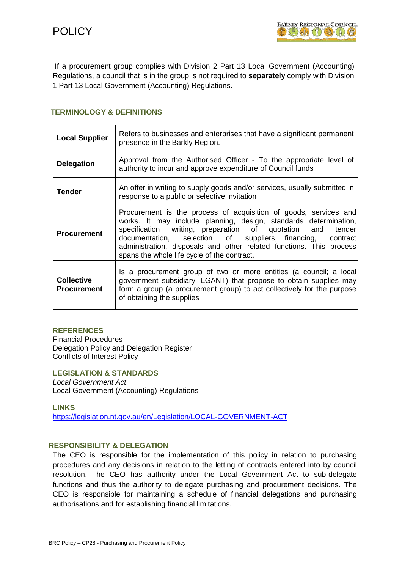If a procurement group complies with Division 2 Part 13 Local Government (Accounting) Regulations, a council that is in the group is not required to **separately** comply with Division 1 Part 13 Local Government (Accounting) Regulations.

## **TERMINOLOGY & DEFINITIONS**

| <b>Local Supplier</b>                   | Refers to businesses and enterprises that have a significant permanent<br>presence in the Barkly Region.                                                                                                                                                                                                                                                                               |  |  |
|-----------------------------------------|----------------------------------------------------------------------------------------------------------------------------------------------------------------------------------------------------------------------------------------------------------------------------------------------------------------------------------------------------------------------------------------|--|--|
| <b>Delegation</b>                       | Approval from the Authorised Officer - To the appropriate level of<br>authority to incur and approve expenditure of Council funds                                                                                                                                                                                                                                                      |  |  |
| <b>Tender</b>                           | An offer in writing to supply goods and/or services, usually submitted in<br>response to a public or selective invitation                                                                                                                                                                                                                                                              |  |  |
| <b>Procurement</b>                      | Procurement is the process of acquisition of goods, services and<br>works. It may include planning, design, standards determination,<br>specification writing, preparation of quotation and tender<br>documentation, selection of suppliers, financing, contract<br>administration, disposals and other related functions. This process<br>spans the whole life cycle of the contract. |  |  |
| <b>Collective</b><br><b>Procurement</b> | Is a procurement group of two or more entities (a council; a local<br>government subsidiary; LGANT) that propose to obtain supplies may<br>form a group (a procurement group) to act collectively for the purpose<br>of obtaining the supplies                                                                                                                                         |  |  |

### **REFERENCES**

Financial Procedures Delegation Policy and Delegation Register Conflicts of Interest Policy

### **LEGISLATION & STANDARDS**

*Local Government Act* Local Government (Accounting) Regulations

**LINKS** <https://legislation.nt.gov.au/en/Legislation/LOCAL-GOVERNMENT-ACT>

## **RESPONSIBILITY & DELEGATION**

The CEO is responsible for the implementation of this policy in relation to purchasing procedures and any decisions in relation to the letting of contracts entered into by council resolution. The CEO has authority under the Local Government Act to sub-delegate functions and thus the authority to delegate purchasing and procurement decisions. The CEO is responsible for maintaining a schedule of financial delegations and purchasing authorisations and for establishing financial limitations.